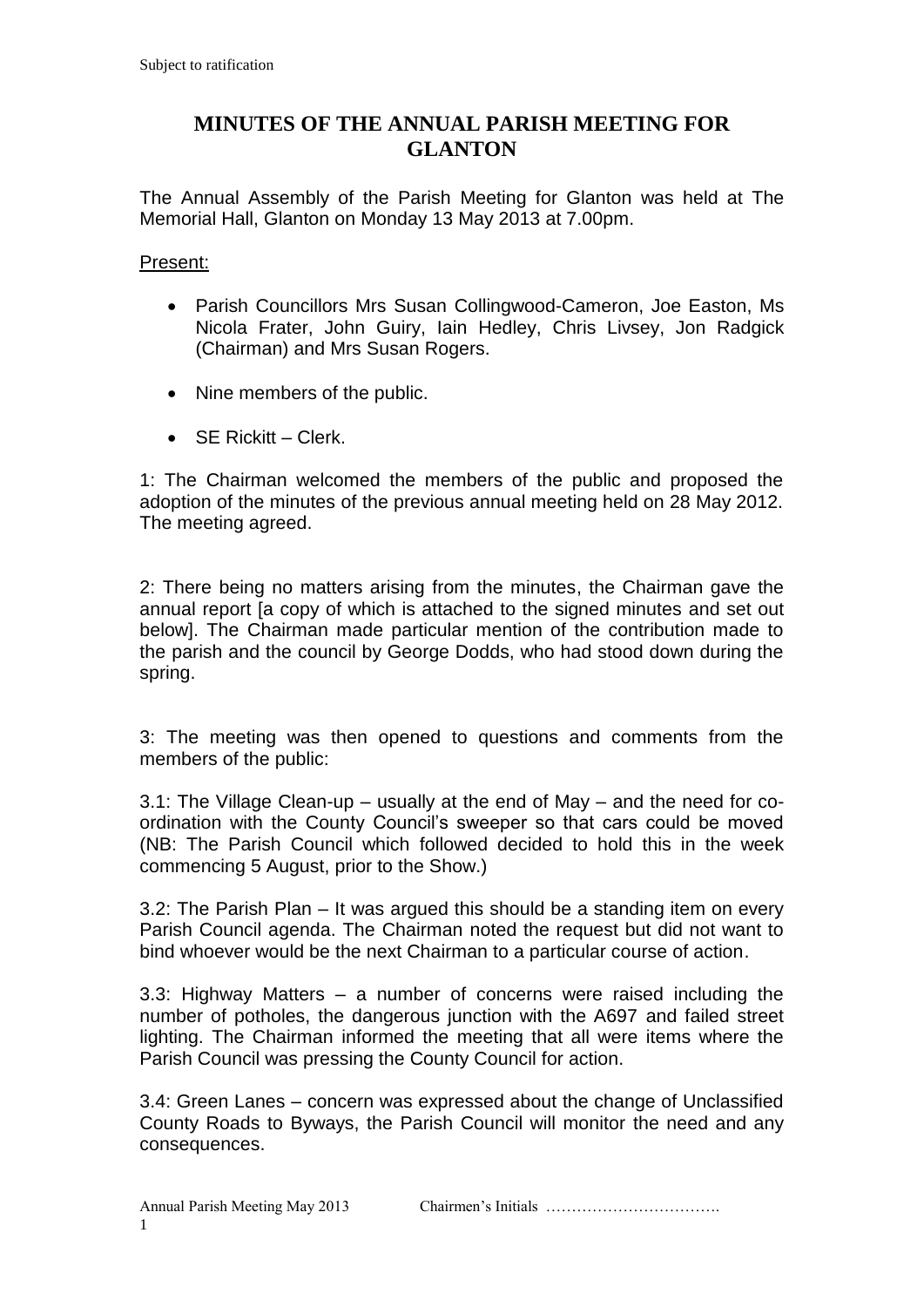## **MINUTES OF THE ANNUAL PARISH MEETING FOR GLANTON**

The Annual Assembly of the Parish Meeting for Glanton was held at The Memorial Hall, Glanton on Monday 13 May 2013 at 7.00pm.

## Present:

- Parish Councillors Mrs Susan Collingwood-Cameron, Joe Easton, Ms Nicola Frater, John Guiry, Iain Hedley, Chris Livsey, Jon Radgick (Chairman) and Mrs Susan Rogers.
- Nine members of the public.
- $S$ F Rickitt Clerk.

1: The Chairman welcomed the members of the public and proposed the adoption of the minutes of the previous annual meeting held on 28 May 2012. The meeting agreed.

2: There being no matters arising from the minutes, the Chairman gave the annual report [a copy of which is attached to the signed minutes and set out below]. The Chairman made particular mention of the contribution made to the parish and the council by George Dodds, who had stood down during the spring.

3: The meeting was then opened to questions and comments from the members of the public:

3.1: The Village Clean-up – usually at the end of May – and the need for coordination with the County Council's sweeper so that cars could be moved (NB: The Parish Council which followed decided to hold this in the week commencing 5 August, prior to the Show.)

3.2: The Parish Plan – It was argued this should be a standing item on every Parish Council agenda. The Chairman noted the request but did not want to bind whoever would be the next Chairman to a particular course of action.

3.3: Highway Matters – a number of concerns were raised including the number of potholes, the dangerous junction with the A697 and failed street lighting. The Chairman informed the meeting that all were items where the Parish Council was pressing the County Council for action.

3.4: Green Lanes – concern was expressed about the change of Unclassified County Roads to Byways, the Parish Council will monitor the need and any consequences.

Annual Parish Meeting May 2013 Chairmen's Initials …………………………….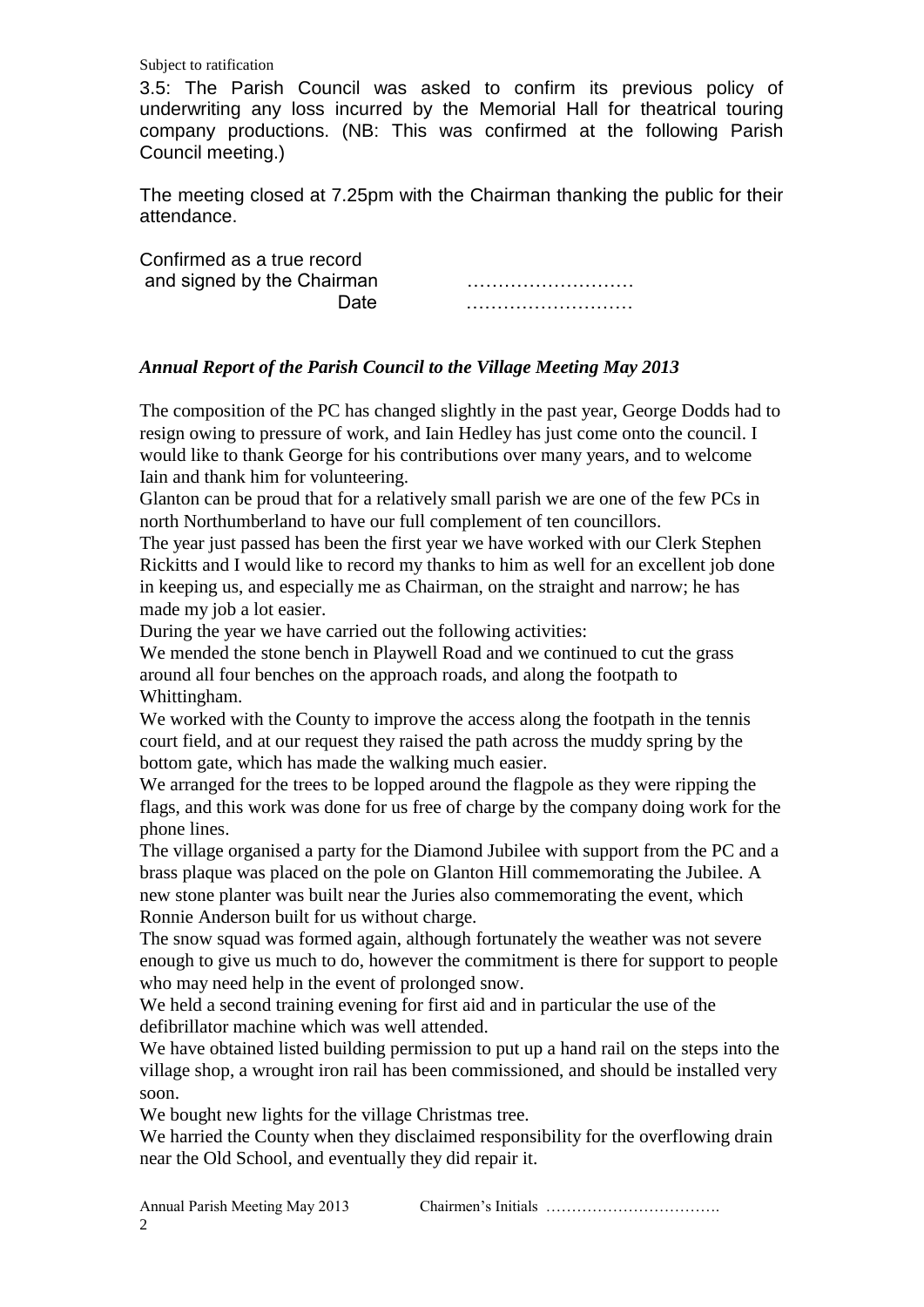Subject to ratification

3.5: The Parish Council was asked to confirm its previous policy of underwriting any loss incurred by the Memorial Hall for theatrical touring company productions. (NB: This was confirmed at the following Parish Council meeting.)

The meeting closed at 7.25pm with the Chairman thanking the public for their attendance.

Confirmed as a true record and signed by the Chairman ………………………

Date ………………………

## *Annual Report of the Parish Council to the Village Meeting May 2013*

The composition of the PC has changed slightly in the past year, George Dodds had to resign owing to pressure of work, and Iain Hedley has just come onto the council. I would like to thank George for his contributions over many years, and to welcome Iain and thank him for volunteering.

Glanton can be proud that for a relatively small parish we are one of the few PCs in north Northumberland to have our full complement of ten councillors.

The year just passed has been the first year we have worked with our Clerk Stephen Rickitts and I would like to record my thanks to him as well for an excellent job done in keeping us, and especially me as Chairman, on the straight and narrow; he has made my job a lot easier.

During the year we have carried out the following activities:

We mended the stone bench in Playwell Road and we continued to cut the grass around all four benches on the approach roads, and along the footpath to Whittingham.

We worked with the County to improve the access along the footpath in the tennis court field, and at our request they raised the path across the muddy spring by the bottom gate, which has made the walking much easier.

We arranged for the trees to be lopped around the flagpole as they were ripping the flags, and this work was done for us free of charge by the company doing work for the phone lines.

The village organised a party for the Diamond Jubilee with support from the PC and a brass plaque was placed on the pole on Glanton Hill commemorating the Jubilee. A new stone planter was built near the Juries also commemorating the event, which Ronnie Anderson built for us without charge.

The snow squad was formed again, although fortunately the weather was not severe enough to give us much to do, however the commitment is there for support to people who may need help in the event of prolonged snow.

We held a second training evening for first aid and in particular the use of the defibrillator machine which was well attended.

We have obtained listed building permission to put up a hand rail on the steps into the village shop, a wrought iron rail has been commissioned, and should be installed very soon.

We bought new lights for the village Christmas tree.

We harried the County when they disclaimed responsibility for the overflowing drain near the Old School, and eventually they did repair it.

Annual Parish Meeting May 2013 Chairmen's Initials …………………………….